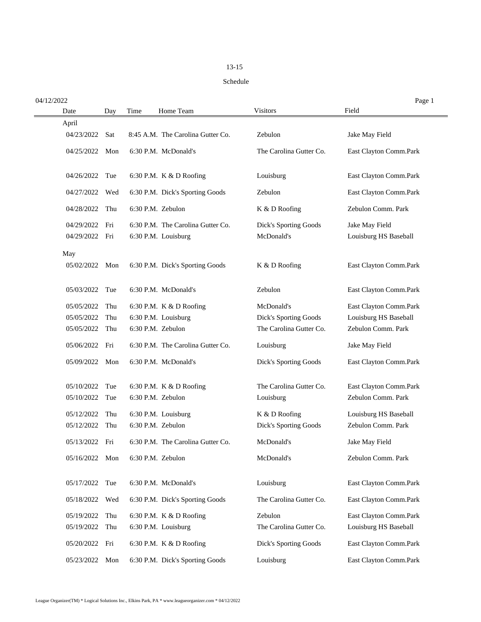## 13-15

## Schedule

| 04/12/2022     |     |      |                                   |                         | Page 1                 |
|----------------|-----|------|-----------------------------------|-------------------------|------------------------|
| Date           | Day | Time | Home Team                         | <b>Visitors</b>         | Field                  |
| April          |     |      |                                   |                         |                        |
| 04/23/2022     | Sat |      | 8:45 A.M. The Carolina Gutter Co. | Zebulon                 | Jake May Field         |
| 04/25/2022     | Mon |      | 6:30 P.M. McDonald's              | The Carolina Gutter Co. | East Clayton Comm.Park |
| 04/26/2022     | Tue |      | 6:30 P.M. K & D Roofing           | Louisburg               | East Clayton Comm.Park |
| 04/27/2022     | Wed |      | 6:30 P.M. Dick's Sporting Goods   | Zebulon                 | East Clayton Comm.Park |
| 04/28/2022     | Thu |      | 6:30 P.M. Zebulon                 | K & D Roofing           | Zebulon Comm. Park     |
| 04/29/2022     | Fri |      | 6:30 P.M. The Carolina Gutter Co. | Dick's Sporting Goods   | Jake May Field         |
| 04/29/2022     | Fri |      | 6:30 P.M. Louisburg               | McDonald's              | Louisburg HS Baseball  |
| May            |     |      |                                   |                         |                        |
| 05/02/2022 Mon |     |      | 6:30 P.M. Dick's Sporting Goods   | K & D Roofing           | East Clayton Comm.Park |
| 05/03/2022     | Tue |      | 6:30 P.M. McDonald's              | Zebulon                 | East Clayton Comm.Park |
| 05/05/2022     | Thu |      | 6:30 P.M. K & D Roofing           | McDonald's              | East Clayton Comm.Park |
| 05/05/2022     | Thu |      | 6:30 P.M. Louisburg               | Dick's Sporting Goods   | Louisburg HS Baseball  |
| 05/05/2022     | Thu |      | 6:30 P.M. Zebulon                 | The Carolina Gutter Co. | Zebulon Comm. Park     |
| 05/06/2022     | Fri |      | 6:30 P.M. The Carolina Gutter Co. | Louisburg               | Jake May Field         |
| 05/09/2022     | Mon |      | 6:30 P.M. McDonald's              | Dick's Sporting Goods   | East Clayton Comm.Park |
| 05/10/2022     | Tue |      | 6:30 P.M. $K & D$ Roofing         | The Carolina Gutter Co. | East Clayton Comm.Park |
| 05/10/2022     | Tue |      | 6:30 P.M. Zebulon                 | Louisburg               | Zebulon Comm. Park     |
| 05/12/2022     | Thu |      | 6:30 P.M. Louisburg               | K & D Roofing           | Louisburg HS Baseball  |
| 05/12/2022     | Thu |      | 6:30 P.M. Zebulon                 | Dick's Sporting Goods   | Zebulon Comm. Park     |
| 05/13/2022     | Fri |      | 6:30 P.M. The Carolina Gutter Co. | McDonald's              | Jake May Field         |
| 05/16/2022 Mon |     |      | 6:30 P.M. Zebulon                 | McDonald's              | Zebulon Comm. Park     |
| 05/17/2022     | Tue |      | 6:30 P.M. McDonald's              | Louisburg               | East Clayton Comm.Park |
| 05/18/2022     | Wed |      | 6:30 P.M. Dick's Sporting Goods   | The Carolina Gutter Co. | East Clayton Comm.Park |
| 05/19/2022     | Thu |      | 6:30 P.M. K & D Roofing           | Zebulon                 | East Clayton Comm.Park |
| 05/19/2022     | Thu |      | 6:30 P.M. Louisburg               | The Carolina Gutter Co. | Louisburg HS Baseball  |
| 05/20/2022     | Fri |      | 6:30 P.M. K & D Roofing           | Dick's Sporting Goods   | East Clayton Comm.Park |
| 05/23/2022     | Mon |      | 6:30 P.M. Dick's Sporting Goods   | Louisburg               | East Clayton Comm.Park |